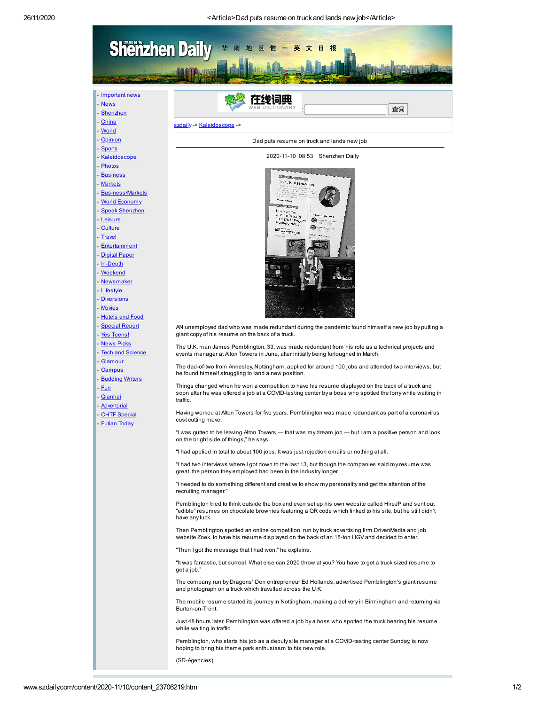

[szdaily](http://www.szdaily.com/index.htm) -> [Kaleidoscope](http://www.szdaily.com/node_72140.htm) ->

- [Shenzhen](http://www.szdaily.com/node_71841.htm)
- [China](http://www.szdaily.com/node_71860.htm)
- [World](http://www.szdaily.com/node_71866.htm)
- [Opinion](http://www.szdaily.com/node_72561.htm)
- [Sports](http://www.szdaily.com/node_71867.htm)
- 
- [Kaleidoscope](http://www.szdaily.com/node_72140.htm)
- [Photos](http://www.szdaily.com/node_72180.htm)
- [Business](http://www.szdaily.com/node_71863.htm)
- [Markets](http://www.szdaily.com/node_71862.htm)
- [Business/Markets](http://www.szdaily.com/node_71927.htm)
- World [Economy](http://www.szdaily.com/node_72580.htm)
- [Speak Shenzhen](http://www.szdaily.com/node_71928.htm)
- [Leisure](http://www.szdaily.com/node_71868.htm)
- [Culture](http://www.szdaily.com/node_71861.htm)
- [Travel](http://www.szdaily.com/node_71925.htm)
- 
- [Entertainment](http://www.szdaily.com/node_71864.htm)
- [Digital](http://www.szdaily.com/node_71960.htm) Paper
- [In-Depth](http://www.szdaily.com/node_71870.htm)
- **[Weekend](http://www.szdaily.com/node_72400.htm)**
- [Newsmaker](http://www.szdaily.com/node_307899.htm)
- [Lifestyle](http://www.szdaily.com/node_78040.htm)
- [Diversions](http://www.szdaily.com/node_72440.htm)
- [Movies](http://www.szdaily.com/node_72422.htm)
- [Hotels](http://www.szdaily.com/node_71923.htm) and Food
- [Special](http://www.szdaily.com/node_72820.htm) Report
- Yes [Teens!](http://www.szdaily.com/node_72103.htm)
- **[News](http://www.szdaily.com/node_72104.htm) Picks**
- Tech and [Science](http://www.szdaily.com/node_72121.htm)
- 
- [Glamour](http://www.szdaily.com/node_72080.htm)
- [Campus](http://www.szdaily.com/node_72081.htm)
- **[Budding](http://www.szdaily.com/node_72082.htm) Writers**
- [Fun](http://www.szdaily.com/node_72083.htm)
- **[Qianhai](http://www.szdaily.com/node_307921.htm)**
- [Advertorial](http://www.szdaily.com/node_108786.htm)
- CHTF [Special](http://www.szdaily.com/node_74840.htm)
- [Futian](http://www.szdaily.com/node_74740.htm) Today
- 



Dad puts resume on truck and lands new job

AN unemployed dad who was made redundant during the pandemic found himself a new job by putting a giant copy of his resume on the back of a truck.

The U.K. man James Pemblington, 33, was made redundant from his role as a technical projects and events manager at Alton Towers in June, after initially being furloughed in March.

The dad-of-two from Annesley, Nottingham, applied for around 100 jobs and attended two interviews, but he found himself struggling to land a new position.

Things changed when he won a competition to have his resume displayed on the back of a truck and soon after he was offered a job at a COVID-testing center by a boss who spotted the lorry while waiting in traffic.

Having worked at Alton Towers for five years, Pemblington was made redundant as part of a coronavirus cost cutting move.

"I was gutted to be leaving Alton Towers — that was my dream job — but I am a positive person and look on the bright side of things," he says.

"I had applied in total to about 100 jobs. It was just rejection emails or nothing at all.

"I had two interviews where I got down to the last 13, but though the companies said my resume was great, the person they employed had been in the industry longer.

"I needed to do something different and creative to show my personality and get the attention of the recruiting manager."

Pemblington tried to think outside the box and even set up his own website called HireJP and sent out "edible" resumes on chocolate brownies featuring a QR code which linked to his site, but he still didn't have any luck.

Then Pemblington spotted an online competition, run by truck advertising firm DrivenMedia and job website Zoek, to have his resume displayed on the back of an 18-ton HGV and decided to enter.

"Then I got the message that I had won," he explains.

"It was fantastic, but surreal. What else can 2020 throw at you? You have to get a truck sized resume to get a job."

The company, run by Dragons' Den entrepreneur Ed Hollands, advertised Pemblington's giant resume and photograph on a truck which travelled across the U.K.

The mobile resume started its journey in Nottingham, making a delivery in Birmingham and returning via Burton-on-Trent.

Just 48 hours later, Pemblington was offered a job by a boss who spotted the truck bearing his resume while waiting in traffic.

Pemblington, who starts his job as a deputy site manager at a COVID-testing center Sunday, is now hoping to bring his theme park enthusiasm to his new role.

(SD-Agencies)